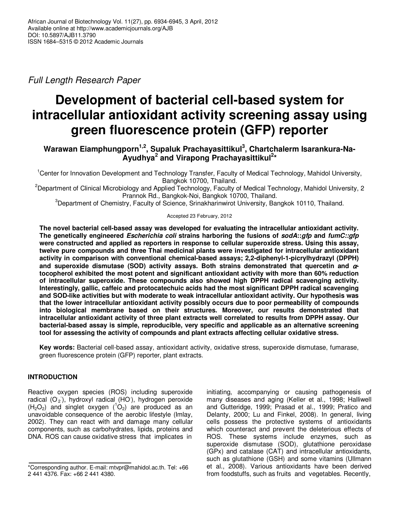*Full Length Research Paper* 

# **Development of bacterial cell-based system for intracellular antioxidant activity screening assay using green fluorescence protein (GFP) reporter**

# **Warawan Eiamphungporn1,2, Supaluk Prachayasittikul<sup>3</sup> , Chartchalerm Isarankura-Na-Ayudhya<sup>2</sup> and Virapong Prachayasittikul<sup>2</sup> \***

<sup>1</sup>Center for Innovation Development and Technology Transfer, Faculty of Medical Technology, Mahidol University, Bangkok 10700, Thailand.

<sup>2</sup>Department of Clinical Microbiology and Applied Technology, Faculty of Medical Technology, Mahidol University, 2 Prannok Rd., Bangkok-Noi, Bangkok 10700, Thailand.

<sup>3</sup>Department of Chemistry, Faculty of Science, Srinakharinwirot University, Bangkok 10110, Thailand.

# Accepted 23 February, 2012

**The novel bacterial cell-based assay was developed for evaluating the intracellular antioxidant activity. The genetically engineered** *Escherichia coli* **strains harboring the fusions of** *sodA***::***gfp* **and** *fumC::gfp* **were constructed and applied as reporters in response to cellular superoxide stress. Using this assay, twelve pure compounds and three Thai medicinal plants were investigated for intracellular antioxidant activity in comparison with conventional chemical-based assays; 2,2-diphenyl-1-picrylhydrazyl (DPPH) and superoxide dismutase (SOD) activity assays. Both strains demonstrated that quercetin and** α**tocopherol exhibited the most potent and significant antioxidant activity with more than 60% reduction of intracellular superoxide. These compounds also showed high DPPH radical scavenging activity. Interestingly, gallic, caffeic and protocatechuic acids had the most significant DPPH radical scavenging and SOD-like activities but with moderate to weak intracellular antioxidant activity. Our hypothesis was that the lower intracellular antioxidant activity possibly occurs due to poor permeability of compounds into biological membrane based on their structures. Moreover, our results demonstrated that intracellular antioxidant activity of three plant extracts well correlated to results from DPPH assay. Our bacterial-based assay is simple, reproducible, very specific and applicable as an alternative screening tool for assessing the activity of compounds and plant extracts affecting cellular oxidative stress.** 

**Key words:** Bacterial cell-based assay, antioxidant activity, oxidative stress, superoxide dismutase, fumarase, green fluorescence protein (GFP) reporter, plant extracts.

# **INTRODUCTION**

Reactive oxygen species (ROS) including superoxide radical (O<sub>2</sub>), hydroxyl radical (HO), hydrogen peroxide  $(H_2O_2)$  and singlet oxygen  $(^1O_2)$  are produced as an unavoidable consequence of the aerobic lifestyle (Imlay, 2002). They can react with and damage many cellular components, such as carbohydrates, lipids, proteins and DNA. ROS can cause oxidative stress that implicates in

initiating, accompanying or causing pathogenesis of many diseases and aging (Keller et al., 1998; Halliwell and Gutteridge, 1999; Prasad et al., 1999; Pratico and Delanty, 2000; Lu and Finkel, 2008). In general, living cells possess the protective systems of antioxidants which counteract and prevent the deleterious effects of ROS. These systems include enzymes, such as superoxide dismutase (SOD), glutathione peroxidase (GPx) and catalase (CAT) and intracellular antioxidants, such as glutathione (GSH) and some vitamins (Ullmann et al., 2008). Various antioxidants have been derived from foodstuffs, such as fruits and vegetables. Recently,

<sup>\*</sup>Corresponding author. E-mail: mtvpr@mahidol.ac.th. Tel: +66 2 441 4376. Fax: +66 2 441 4380.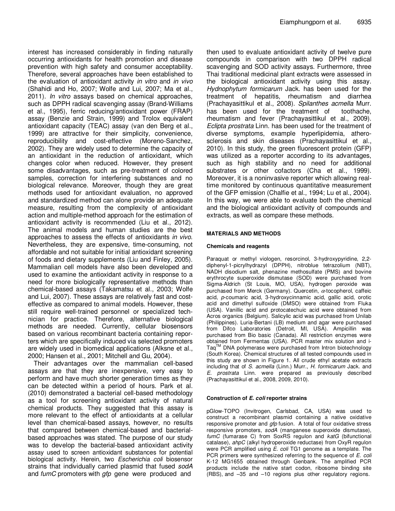interest has increased considerably in finding naturally occurring antioxidants for health promotion and disease prevention with high safety and consumer acceptability. Therefore, several approaches have been established to the evaluation of antioxidant activity *in vitro* and *in vivo* (Shahidi and Ho, 2007; Wolfe and Lui, 2007; Ma et al., 2011). *In vitro* assays based on chemical approaches, such as DPPH radical scavenging assay (Brand-Williams et al., 1995), ferric reducing/antioxidant power (FRAP) assay (Benzie and Strain, 1999) and Trolox equivalent antioxidant capacity (TEAC) assay (van den Berg et al., 1999) are attractive for their simplicity, convenience, reproducibility and cost-effective (Moreno-Sanchez, 2002). They are widely used to determine the capacity of an antioxidant in the reduction of antioxidant, which changes color when reduced. However, they present some disadvantages, such as pre-treatment of colored samples, correction for interfering substances and no biological relevance. Moreover, though they are great methods used for antioxidant evaluation, no approved and standardized method can alone provide an adequate measure, resulting from the complexity of antioxidant action and multiple-method approach for the estimation of antioxidant activity is recommended (Liu et al., 2012). The animal models and human studies are the best approaches to assess the effects of antioxidants *in vivo*. Nevertheless, they are expensive, time-consuming, not affordable and not suitable for initial antioxidant screening of foods and dietary supplements (Liu and Finley, 2005). Mammalian cell models have also been developed and used to examine the antioxidant activity in response to a need for more biologically representative methods than chemical-based assays (Takamatsu et al., 2003; Wolfe and Lui, 2007). These assays are relatively fast and costeffective as compared to animal models. However, these still require well-trained personnel or specialized technician for practice. Therefore, alternative biological methods are needed. Currently, cellular biosensors based on various recombinant bacteria containing reporters which are specifically induced via selected promoters are widely used in biomedical applications (Alksne et al., 2000; Hansen et al., 2001; Mitchell and Gu, 2004).

Their advantages over the mammalian cell-based assays are that they are inexpensive, very easy to perform and have much shorter generation times as they can be detected within a period of hours. Park et al. (2010) demonstrated a bacterial cell-based methodology as a tool for screening antioxidant activity of natural chemical products. They suggested that this assay is more relevant to the effect of antioxidants at a cellular level than chemical-based assays, however, no results that compared between chemical-based and bacterialbased approaches was stated. The purpose of our study was to develop the bacterial-based antioxidant activity assay used to screen antioxidant substances for potential biological activity. Herein, two *Escherichia coli* biosensor strains that individually carried plasmid that fused *sodA* and *fumC* promoters with *gfp* gene were produced and

then used to evaluate antioxidant activity of twelve pure compounds in comparison with two DPPH radical scavenging and SOD activity assays. Furthermore, three Thai traditional medicinal plant extracts were assessed in the biological antioxidant activity using this assay. *Hydnophytum formicarum* Jack. has been used for the treatment of hepatitis, rheumatism and diarrhea (Prachayasittikul et al., 2008). *Spilanthes acmella* Murr. has been used for the treatment of toothache, rheumatism and fever (Prachayasittikul et al., 2009). *Eclipta prostrata* Linn. has been used for the treatment of diverse symptoms, example hyperlipidemia, atherosclerosis and skin diseases (Prachayasittikul et al., 2010). In this study, the green fluorescent protein (GFP) was utilized as a reporter according to its advantages, such as high stability and no need for additional substrates or other cofactors (Cha et al., 1999). Moreover, it is a noninvasive reporter which allowing realtime monitored by continuous quantitative measurement of the GFP emission (Chalfie et al., 1994; Lu et al., 2004). In this way, we were able to evaluate both the chemical and the biological antioxidant activity of compounds and extracts, as well as compare these methods.

#### **MATERIALS AND METHODS**

#### **Chemicals and reagents**

Paraquat or methyl viologen, resorcinol, 3-hydroxypyridine, 2,2 diphenyl-1-picrylhydrazyl (DPPH), nitroblue tetrazolium (NBT), NADH disodium salt, phenazine methosulfate (PMS) and bovine erythrocyte superoxide dismutase (SOD) were purchased from Sigma-Aldrich (St Louis, MO, USA), hydrogen peroxide was purchased from Merck (Germany). Quercetin, α-tocopherol, caffeic acid, *p*-coumaric acid, 3-hydroxycinnamic acid, gallic acid, orotic acid and dimethyl sulfoxide (DMSO) were obtained from Fluka (USA). Vanillic acid and protocatechuic acid were obtained from Acros organics (Belgium). Salicylic acid was purchased from Unilab (Philippines). Luria-Bertani (LB) medium and agar were purchased from Difco Laboratories (Detroit, MI, USA). Ampicillin was purchased from Bio basic (Canada). All restriction enzymes were obtained from Fermentas (USA). PCR master mix solution and i-Taq<sup>™</sup> DNA polymerase were purchased from Intron biotechnology (South Korea). Chemical structures of all tested compounds used in this study are shown in Figure 1. All crude ethyl acetate extracts including that of *S. acmella* (Linn.) Murr., *H. formicarum* Jack. and *E. prostrata* Linn. were prepared as previously described (Prachayasittikul et al., 2008, 2009, 2010).

#### **Construction of** *E. coli* **reporter strains**

pGlow-TOPO (Invitrogen, Carlsbad, CA, USA) was used to construct a recombinant plasmid containing a native oxidative responsive promoter and *gfp* fusion. A total of four oxidative stress responsive promoters, *sodA* (manganese superoxide dismutase), *fumC* (fumarase C) from SoxRS regulon and *katG* (bifunctional catalase), *ahpC* (alkyl hydroperoxide reductase) from OxyR regulon were PCR amplified using *E. coli* TG1 genome as a template. The PCR primers were synthesized referring to the sequence of *E. coli* K-12 MG1655 obtained through Genbank. The amplified PCR products include the native start codon, ribosome binding site (RBS), and –35 and –10 regions plus other regulatory regions.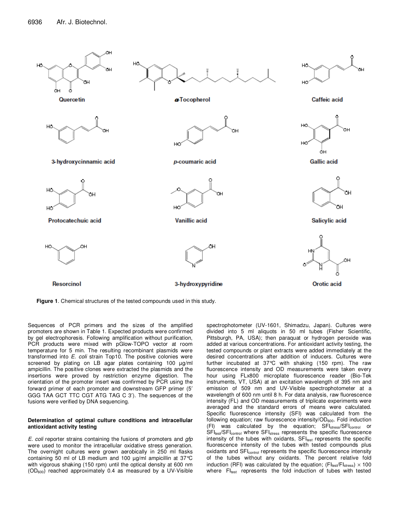

**Figure 1**. Chemical structures of the tested compounds used in this study.

Sequences of PCR primers and the sizes of the amplified promoters are shown in Table 1. Expected products were confirmed by gel electrophoresis. Following amplification without purification, PCR products were mixed with pGlow-TOPO vector at room temperature for 5 min. The resulting recombinant plasmids were transformed into *E. coli* strain Top10. The positive colonies were screened by plating on LB agar plates containing 100  $\mu$ g/ml ampicillin. The positive clones were extracted the plasmids and the insertions were proved by restriction enzyme digestion. The orientation of the promoter insert was confirmed by PCR using the forward primer of each promoter and downstream GFP primer (5′ GGG TAA GCT TTC CGT ATG TAG C 3′). The sequences of the fusions were verified by DNA sequencing.

#### **Determination of optimal culture conditions and intracellular antioxidant activity testing**

*E. coli* reporter strains containing the fusions of promoters and *gfp*  were used to monitor the intracellular oxidative stress generation. The overnight cultures were grown aerobically in 250 ml flasks containing 50 ml of LB medium and 100 µg/ml ampicillin at 37°C with vigorous shaking (150 rpm) until the optical density at 600 nm  $(OD<sub>600</sub>)$  reached approximately 0.4 as measured by a UV-Visible spectrophotometer (UV-1601, Shimadzu, Japan). Cultures were divided into 5 ml aliquots in 50 ml tubes (Fisher Scientific, Pittsburgh, PA, USA); then paraquat or hydrogen peroxide was added at various concentrations. For antioxidant activity testing, the tested compounds or plant extracts were added immediately at the desired concentrations after addition of inducers. Cultures were further incubated at 37°C with shaking (150 rpm). The raw fluorescence intensity and OD measurements were taken every hour using FLx800 microplate fluorescence reader (Bio-Tek instruments, VT, USA) at an excitation wavelength of 395 nm and emission of 509 nm and UV-Visible spectrophotometer at a wavelength of 600 nm until 8 h. For data analysis, raw fluorescence intensity (FL) and OD measurements of triplicate experiments were averaged and the standard errors of means were calculated. Specific fluorescence intensity (SFI) was calculated from the following equation; raw fluorescence intensity/ $OD<sub>600</sub>$ . Fold induction (FI) was calculated by the equation; SFI<sub>stress</sub>/SFI<sub>control</sub> or SFI<sub>test</sub>/SFI<sub>control</sub> where SFI<sub>stress</sub> represents the specific fluorescence intensity of the tubes with oxidants, SFItest represents the specific fluorescence intensity of the tubes with tested compounds plus oxidants and SFI<sub>control</sub> represents the specific fluorescence intensity of the tubes without any oxidants. The percent relative fold induction (RFI) was calculated by the equation; ( $FI_{\text{test}}/FI_{\text{stress}}$ )  $\times$  100 where FItest represents the fold induction of tubes with tested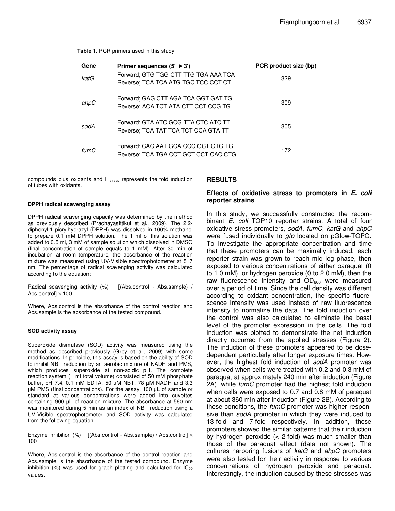| Table 1. PCR primers used in this study. |  |  |  |  |  |  |
|------------------------------------------|--|--|--|--|--|--|
|------------------------------------------|--|--|--|--|--|--|

| Gene                                      | Primer sequences $(5'$ $\rightarrow$ 3')                                    | PCR product size (bp) |
|-------------------------------------------|-----------------------------------------------------------------------------|-----------------------|
| katG                                      | Forward; GTG TGG CTT TTG TGA AAA TCA<br>Reverse: TCA TCA ATG TGC TCC CCT CT | 329                   |
| ahpC                                      | Forward: GAG CTT AGA TCA GGT GAT TG<br>Reverse: ACA TCT ATA CTT CCT CCG TG  | 309                   |
| sodA                                      | Forward: GTA ATC GCG TTA CTC ATC TT<br>Reverse: TCA TAT TCA TCT CCA GTA TT  | 305                   |
| $f_{\text{L} \text{I} \text{m} \text{C}}$ | Forward: CAC AAT GCA CCC GCT GTG TG<br>Reverse; TCA TGA CCT GCT CCT CAC CTG | 172                   |

compounds plus oxidants and FIstress represents the fold induction of tubes with oxidants.

#### **DPPH radical scavenging assay**

DPPH radical scavenging capacity was determined by the method as previously described (Prachayasittikul et al., 2009). The 2,2 diphenyl-1-picrylhydrazyl (DPPH) was dissolved in 100% methanol to prepare 0.1 mM DPPH solution. The 1 ml of this solution was added to 0.5 ml, 3 mM of sample solution which dissolved in DMSO (final concentration of sample equals to 1 mM). After 30 min of incubation at room temperature, the absorbance of the reaction mixture was measured using UV-Visible spectrophotometer at 517 nm. The percentage of radical scavenging activity was calculated according to the equation:

Radical scavenging activity  $(%) = [(Abs.contrib - Abs.sumple) /$ Abs.control]  $\times$  100

Where, Abs.control is the absorbance of the control reaction and Abs.sample is the absorbance of the tested compound.

#### **SOD activity assay**

Superoxide dismutase (SOD) activity was measured using the method as described previously (Grey et al., 2009) with some modifications. In principle, this assay is based on the ability of SOD to inhibit NBT reduction by an aerobic mixture of NADH and PMS, which produces superoxide at non-acidic pH. The complete reaction system (1 ml total volume) consisted of 50 mM phosphate buffer, pH 7.4, 0.1 mM EDTA, 50 µM NBT, 78 µM NADH and 3.3 µM PMS (final concentrations). For the assay, 100 µL of sample or standard at various concentrations were added into cuvettes containing 900 µL of reaction mixture. The absorbance at 560 nm was monitored during 5 min as an index of NBT reduction using a UV-Visible spectrophotometer and SOD activity was calculated from the following equation:

Enzyme inhibition (%) =  $[(Abs.control - Abs.sample) / Abs.control] \times$ 100

Where, Abs.control is the absorbance of the control reaction and Abs.sample is the absorbance of the tested compound. Enzyme inhibition  $(%)$  was used for graph plotting and calculated for  $IC_{50}$ values.

#### **RESULTS**

#### **Effects of oxidative stress to promoters in** *E. coli* **reporter strains**

In this study, we successfully constructed the recombinant *E. coli* TOP10 reporter strains. A total of four oxidative stress promoters, *sodA*, *fumC*, *katG* and *ahpC*  were fused individually to *gfp* located on pGlow-TOPO. To investigate the appropriate concentration and time that these promoters can be maximally induced, each reporter strain was grown to reach mid log phase, then exposed to various concentrations of either paraquat (0 to 1.0 mM), or hydrogen peroxide (0 to 2.0 mM), then the raw fluorescence intensity and  $OD<sub>600</sub>$  were measured over a period of time. Since the cell density was different according to oxidant concentration, the specific fluorescence intensity was used instead of raw fluorescence intensity to normalize the data. The fold induction over the control was also calculated to eliminate the basal level of the promoter expression in the cells. The fold induction was plotted to demonstrate the net induction directly occurred from the applied stresses (Figure 2). The induction of these promoters appeared to be dosedependent particularly after longer exposure times. However, the highest fold induction of *sodA* promoter was observed when cells were treated with 0.2 and 0.3 mM of paraquat at approximately 240 min after induction (Figure 2A), while *fumC* promoter had the highest fold induction when cells were exposed to 0.7 and 0.8 mM of paraquat at about 360 min after induction (Figure 2B). According to these conditions, the *fumC* promoter was higher responsive than *sodA* promoter in which they were induced to 13-fold and 7-fold respectively. In addition, these promoters showed the similar patterns that their induction by hydrogen peroxide (< 2-fold) was much smaller than those of the paraquat effect (data not shown). The cultures harboring fusions of *katG* and *ahpC* promoters were also tested for their activity in response to various concentrations of hydrogen peroxide and paraquat. Interestingly, the induction caused by these stresses was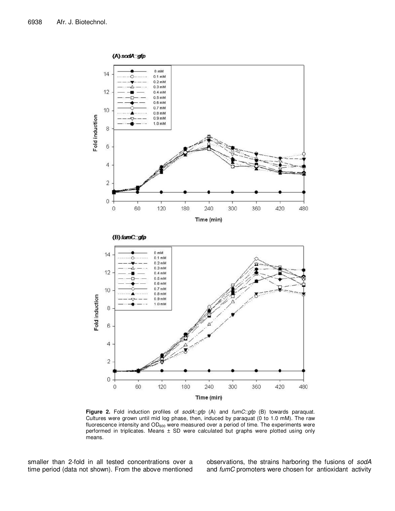

**Figure 2.** Fold induction profiles of *sodA*::*gfp* (A) and *fumC*::*gfp* (B) towards paraquat. Cultures were grown until mid log phase, then, induced by paraquat (0 to 1.0 mM). The raw fluorescence intensity and  $OD_{600}$  were measured over a period of time. The experiments were performed in triplicates. Means  $\pm$  SD were calculated but graphs were plotted using only means.

smaller than 2-fold in all tested concentrations over a time period (data not shown). From the above mentioned observations, the strains harboring the fusions of *sodA* and *fumC* promoters were chosen for antioxidant activity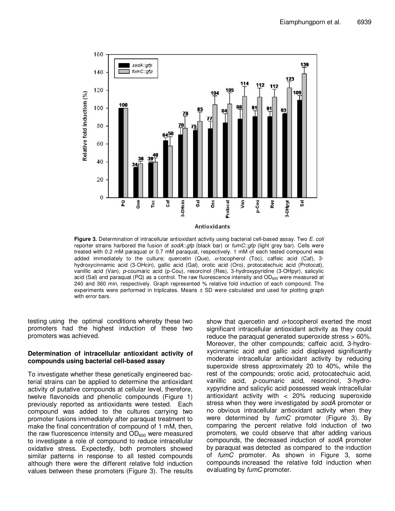

**Figure 3.** Determination of intracellular antioxidant activity using bacterial cell-based assay. Two *E. coli* reporter strains harbored the fusion of *sodA*::*gfp* (black bar) or *fumC*::*gfp* (light grey bar). Cells were treated with 0.2 mM paraquat or 0.7 mM paraquat, respectively. 1 mM of each tested compound was added immediately to the culture; quercetin (Que),  $\alpha$ -tocopherol (Toc), caffeic acid (Caf), 3hydroxycinnamic acid (3-OHcin), gallic acid (Gal), orotic acid (Oro), protocatechuic acid (Protocat), vanillic acid (Van), *p*-coumaric acid (p-Cou), resorcinol (Res), 3-hydroxypyridine (3-OHpyr), salicylic acid (Sal) and paraquat (PQ) as a control. The raw fluorescence intensity and  $OD<sub>600</sub>$  were measured at 240 and 360 min, respectively. Graph represented % relative fold induction of each compound. The experiments were performed in triplicates. Means ± SD were calculated and used for plotting graph with error bars.

testing using the optimal conditions whereby these two promoters had the highest induction of these two promoters was achieved.

# **Determination of intracellular antioxidant activity of compounds using bacterial cell-based assay**

To investigate whether these genetically engineered bacterial strains can be applied to determine the antioxidant activity of putative compounds at cellular level, therefore, twelve flavonoids and phenolic compounds (Figure 1) previously reported as antioxidants were tested. Each compound was added to the cultures carrying two promoter fusions immediately after paraquat treatment to make the final concentration of compound of 1 mM, then, the raw fluorescence intensity and  $OD<sub>600</sub>$  were measured to investigate a role of compound to reduce intracellular oxidative stress. Expectedly, both promoters showed similar patterns in response to all tested compounds although there were the different relative fold induction values between these promoters (Figure 3). The results

show that quercetin and  $\alpha$ -tocopherol exerted the most significant intracellular antioxidant activity as they could reduce the paraquat generated superoxide stress > 60%. Moreover, the other compounds; caffeic acid, 3-hydroxycinnamic acid and gallic acid displayed significantly moderate intracellular antioxidant activity by reducing superoxide stress approximately 20 to 40%, while the rest of the compounds; orotic acid, protocatechuic acid, vanillic acid, *p*-coumaric acid, resorcinol, 3-hydroxypyridine and salicylic acid possessed weak intracellular antioxidant activity with < 20% reducing superoxide stress when they were investigated by *sodA* promoter or no obvious intracellular antioxidant activity when they were determined by *fumC* promoter (Figure 3). By comparing the percent relative fold induction of two promoters, we could observe that after adding various compounds, the decreased induction of *sodA* promoter by paraquat was detected as compared to the induction of *fumC* promoter. As shown in Figure 3, some compounds increased the relative fold induction when evaluating by *fumC* promoter.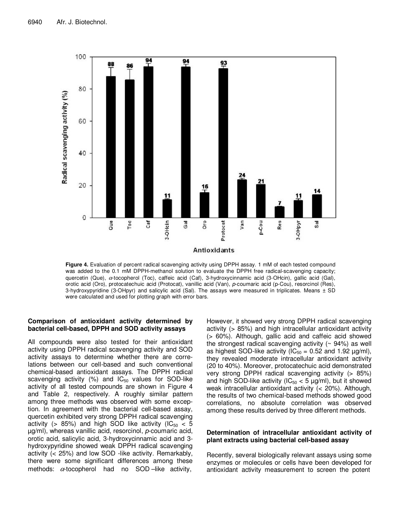

**Figure 4.** Evaluation of percent radical scavenging activity using DPPH assay. 1 mM of each tested compound was added to the 0.1 mM DPPH-methanol solution to evaluate the DPPH free radical-scavenging capacity; quercetin (Que), α-tocopherol (Toc), caffeic acid (Caf), 3-hydroxycinnamic acid (3-OHcin), gallic acid (Gal), orotic acid (Oro), protocatechuic acid (Protocat), vanillic acid (Van), *p*-coumaric acid (p-Cou), resorcinol (Res), 3-hydroxypyridine (3-OHpyr) and salicylic acid (Sal). The assays were measured in triplicates. Means ± SD were calculated and used for plotting graph with error bars.

# **Comparison of antioxidant activity determined by bacterial cell-based, DPPH and SOD activity assays**

All compounds were also tested for their antioxidant activity using DPPH radical scavenging activity and SOD activity assays to determine whether there are correlations between our cell-based and such conventional chemical-based antioxidant assays. The DPPH radical scavenging activity  $(%)$  and  $IC_{50}$  values for SOD-like activity of all tested compounds are shown in Figure 4 and Table 2, respectively. A roughly similar pattern among three methods was observed with some exception. In agreement with the bacterial cell-based assay, quercetin exhibited very strong DPPH radical scavenging activity (> 85%) and high SOD like activity ( $IC_{50}$  < 5 µg/ml), whereas vanillic acid, resorcinol, *p*-coumaric acid, orotic acid, salicylic acid, 3-hydroxycinnamic acid and 3 hydroxypyridine showed weak DPPH radical scavenging activity (< 25%) and low SOD -like activity. Remarkably, there were some significant differences among these methods:  $\alpha$ -tocopherol had no SOD-like activity,

However, it showed very strong DPPH radical scavenging activity (> 85%) and high intracellular antioxidant activity (> 60%). Although, gallic acid and caffeic acid showed the strongest radical scavenging activity  $($   $\sim$  94%) as well as highest SOD-like activity ( $IC_{50} = 0.52$  and 1.92  $\mu$ g/ml), they revealed moderate intracellular antioxidant activity (20 to 40%). Moreover, protocatechuic acid demonstrated very strong DPPH radical scavenging activity (> 85%) and high SOD-like activity ( $IC_{50}$  < 5  $\mu$ g/ml), but it showed weak intracellular antioxidant activity (< 20%). Although, the results of two chemical-based methods showed good correlations, no absolute correlation was observed among these results derived by three different methods.

### **Determination of intracellular antioxidant activity of plant extracts using bacterial cell-based assay**

Recently, several biologically relevant assays using some enzymes or molecules or cells have been developed for antioxidant activity measurement to screen the potent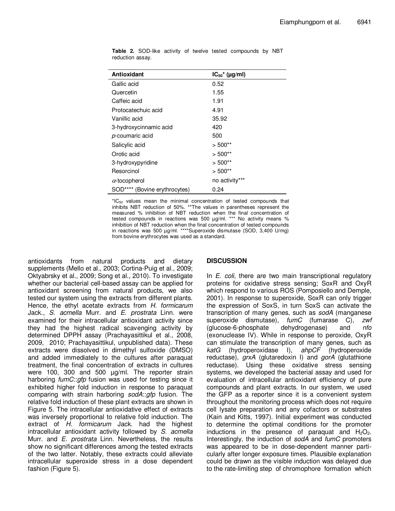| Antioxidant                   | $IC_{50}$ <sup>*</sup> ( $\mu$ g/ml) |
|-------------------------------|--------------------------------------|
| Gallic acid                   | 0.52                                 |
| Quercetin                     | 1.55                                 |
| Caffeic acid                  | 1.91                                 |
| Protocatechuic acid           | 4.91                                 |
| Vanillic acid                 | 35.92                                |
| 3-hydroxycinnamic acid        | 420                                  |
| p-coumaric acid               | 500                                  |
| Salicylic acid                | $> 500**$                            |
| Orotic acid                   | $> 500**$                            |
| 3-hydroxypyridine             | $> 500**$                            |
| Resorcinol                    | $>500**$                             |
| $\alpha$ -tocopherol          | no activity***                       |
| SOD**** (Bovine erythrocytes) | 0.24                                 |

**Table 2.** SOD-like activity of twelve tested compounds by NBT reduction assay.

 ${}^{\star}IC_{50}$  values mean the minimal concentration of tested compounds that inhibits NBT reduction of 50%. \*\*The values in parentheses represent the measured % inhibition of NBT reduction when the final concentration of tested compounds in reactions was 500 µg/ml. \*\*\* No activity means % inhibition of NBT reduction when the final concentration of tested compounds in reactions was 500 µg/ml. \*\*\*\*Superoxide dismutase (SOD, 3,400 U/mg) from bovine erythrocytes was used as a standard.

antioxidants from natural products and dietary supplements (Mello et al., 2003; Cortina-Puig et al., 2009; Oktyabrsky et al., 2009; Song et al., 2010). To investigate whether our bacterial cell-based assay can be applied for antioxidant screening from natural products, we also tested our system using the extracts from different plants. Hence, the ethyl acetate extracts from *H. formicarum* Jack., *S. acmella* Murr. and *E. prostrata* Linn. were examined for their intracellular antioxidant activity since they had the highest radical scavenging activity by determined DPPH assay (Prachayasittikul et al., 2008, 2009, 2010; Prachayasittikul, unpublished data). These extracts were dissolved in dimethyl sulfoxide (DMSO) and added immediately to the cultures after paraquat treatment, the final concentration of extracts in cultures were 100, 300 and 500 µg/ml. The reporter strain harboring *fumC*::*gfp* fusion was used for testing since it exhibited higher fold induction in response to paraquat comparing with strain harboring *sodA*::*gfp* fusion. The relative fold induction of these plant extracts are shown in Figure 5. The intracellular antioxidative effect of extracts was inversely proportional to relative fold induction. The extract of *H. formicarum* Jack. had the highest intracellular antioxidant activity followed by *S. acmella* Murr. and *E. prostrata* Linn. Nevertheless, the results show no significant differences among the tested extracts of the two latter. Notably, these extracts could alleviate intracellular superoxide stress in a dose dependent fashion (Figure 5).

# **DISCUSSION**

In *E. coli*, there are two main transcriptional regulatory proteins for oxidative stress sensing; SoxR and OxyR which respond to various ROS (Pomposiello and Demple, 2001). In response to superoxide, SoxR can only trigger the expression of SoxS, in turn SoxS can activate the transcription of many genes, such as *sodA* (manganese superoxide dismutase), *fumC* (fumarase C), *zwf* (glucose-6-phosphate dehydrogenase) and *nfo* (exonuclease IV). While in response to peroxide, OxyR can stimulate the transcription of many genes, such as *katG* (hydroperoxidase I), *ahpCF* (hydroperoxide reductase), *grxA* (glutaredoxin I) and *gorA* (glutathione reductase). Using these oxidative stress sensing systems, we developed the bacterial assay and used for evaluation of intracellular antioxidant efficiency of pure compounds and plant extracts. In our system, we used the GFP as a reporter since it is a convenient system throughout the monitoring process which does not require cell lysate preparation and any cofactors or substrates (Kain and Kitts, 1997). Initial experiment was conducted to determine the optimal conditions for the promoter inductions in the presence of paraquat and  $H_2O_2$ . Interestingly, the induction of *sodA* and *fumC* promoters was appeared to be in dose-dependent manner particularly after longer exposure times. Plausible explanation could be drawn as the visible induction was delayed due to the rate-limiting step of chromophore formation which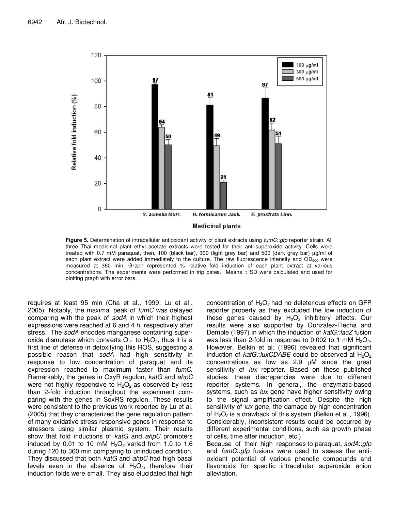

**Figure 5.** Determination of intracellular antioxidant activity of plant extracts using *fumC*::*gfp* reporter strain. All three Thai medicinal plant ethyl acetate extracts were tested for their anti-superoxide activity. Cells were treated with 0.7 mM paraquat, then, 100 (black bar), 300 (light grey bar) and 500 (dark grey bar) µg/ml of each plant extract were added immediately to the culture. The raw fluorescence intensity and OD<sub>600</sub> were measured at 360 min. Graph represented % relative fold induction of each plant extract at various concentrations. The experiments were performed in triplicates. Means ± SD were calculated and used for plotting graph with error bars.

requires at least 95 min (Cha et al., 1999; Lu et al., 2005). Notably, the maximal peak of *fumC* was delayed comparing with the peak of *sodA* in which their highest expressions were reached at 6 and 4 h, respectively after stress. The *sodA* encodes manganese containing superoxide dismutase which converts  $O_2$  to  $H_2O_2$ , thus it is a first line of defense in detoxifying this ROS, suggesting a possible reason that *sodA* had high sensitivity in response to low concentration of paraquat and its expression reached to maximum faster than *fumC*. Remarkably, the genes in OxyR regulon, *katG* and *ahpC* were not highly responsive to  $H_2O_2$  as observed by less than 2-fold induction throughout the experiment comparing with the genes in SoxRS regulon. These results were consistent to the previous work reported by Lu et al. (2005) that they characterized the gene regulation pattern of many oxidative stress responsive genes in response to stressors using similar plasmid system. Their results show that fold inductions of *katG* and *ahpC* promoters induced by 0.01 to 10 mM  $H_2O_2$  varied from 1.0 to 1.6 during 120 to 360 min comparing to uninduced condition. They discussed that both *katG* and *ahpC* had high basal levels even in the absence of  $H_2O_2$ , therefore their induction folds were small. They also elucidated that high

concentration of  $H_2O_2$  had no deleterious effects on GFP reporter property as they excluded the low induction of these genes caused by  $H_2O_2$  inhibitory effects. Our results were also supported by Gonzalez-Flecha and Demple (1997) in which the induction of *katG::lacZ* fusion was less than 2-fold in response to 0.002 to 1 mM  $H_2O_2$ . However, Belkin et al. (1996) revealed that significant induction of *katG::luxCDABE* could be observed at H<sub>2</sub>O<sub>2</sub> concentrations as low as 2.9 µM since the great sensitivity of *lux* reporter. Based on these published studies, these discrepancies were due to different reporter systems. In general, the enzymatic-based systems, such as *lux* gene have higher sensitivity owing to the signal amplification effect. Despite the high sensitivity of *lux* gene, the damage by high concentration of  $H_2O_2$  is a drawback of this system (Belkin et al., 1996). Considerably, inconsistent results could be occurred by different experimental conditions, such as growth phase of cells, time after induction, etc.).

Because of their high responses to paraquat, *sodA*::*gfp* and *fumC*::*gfp* fusions were used to assess the antioxidant potential of various phenolic compounds and flavonoids for specific intracellular superoxide anion alleviation.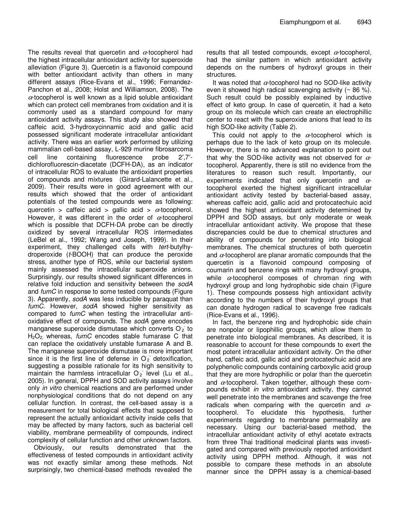The results reveal that quercetin and  $\alpha$ -tocopherol had the highest intracellular antioxidant activity for superoxide alleviation (Figure 3). Quercetin is a flavonoid compound with better antioxidant activity than others in many different assays (Rice-Evans et al., 1996; Fernandez-Panchon et al., 2008; Holst and Williamson, 2008). The  $\alpha$ -tocopherol is well known as a lipid soluble antioxidant which can protect cell membranes from oxidation and it is commonly used as a standard compound for many antioxidant activity assays. This study also showed that caffeic acid, 3-hydroxycinnamic acid and gallic acid possessed significant moderate intracellular antioxidant activity. There was an earlier work performed by utilizing mammalian cell-based assay, L-929 murine fibrosarcoma cell line containing fluorescence probe 2′,7′ dichlorofluorescin-diacetate (DCFH-DA), as an indicator of intracellular ROS to evaluate the antioxidant properties of compounds and mixtures (Girard-Lalancette et al., 2009). Their results were in good agreement with our results which showed that the order of antioxidant potentials of the tested compounds were as following: quercetin > caffeic acid > gallic acid >  $\alpha$ -tocopherol. However, it was different in the order of  $\alpha$ -tocopherol which is possible that DCFH-DA probe can be directly oxidized by several intracellular ROS intermediates (LeBel et al., 1992; Wang and Joseph, 1999). In their experiment, they challenged cells with *tert*-butylhydroperoxide (*t*-BOOH) that can produce the peroxide stress, another type of ROS, while our bacterial system mainly assessed the intracellular superoxide anions. Surprisingly, our results showed significant differences in relative fold induction and sensitivity between the *sodA* and *fumC* in response to some tested compounds (Figure 3). Apparently, *sodA* was less inducible by paraquat than *fumC*. However, *sodA* showed higher sensitivity as compared to *fumC* when testing the intracellular antioxidative effect of compounds. The *sodA* gene encodes manganese superoxide dismutase which converts  $O<sub>2</sub>$  to H2O2, whereas, *fumC* encodes stable fumarase C that can replace the oxidatively unstable fumarase A and B. The manganese superoxide dismutase is more important since it is the first line of defense in  $O<sub>2</sub>$  detoxification, suggesting a possible rationale for its high sensitivity to maintain the harmless intracellular  $O<sub>2</sub>$  level (Lu et al., 2005). In general, DPPH and SOD activity assays involve only *in vitro* chemical reactions and are performed under nonphysiological conditions that do not depend on any cellular function. In contrast, the cell-based assay is a measurement for total biological effects that supposed to represent the actually antioxidant activity inside cells that may be affected by many factors, such as bacterial cell viability, membrane permeability of compounds, indirect complexity of cellular function and other unknown factors.

Obviously, our results demonstrated that the effectiveness of tested compounds in antioxidant activity was not exactly similar among these methods. Not surprisingly, two chemical-based methods revealed the

results that all tested compounds, except  $\alpha$ -tocopherol, had the similar pattern in which antioxidant activity depends on the numbers of hydroxyl groups in their structures.

It was noted that  $\alpha$ -tocopherol had no SOD-like activity even it showed high radical scavenging activity (~ 86 %). Such result could be possibly explained by inductive effect of keto group. In case of quercetin, it had a keto group on its molecule which can create an electrophillic center to react with the superoxide anions that lead to its high SOD-like activity (Table 2).

This could not apply to the  $\alpha$ -tocopherol which is perhaps due to the lack of keto group on its molecule. However, there is no advanced explanation to point out that why the SOD-like activity was not observed for  $\alpha$ tocopherol. Apparently, there is still no evidence from the literatures to reason such result. Importantly, our experiments indicated that only quercetin and  $\alpha$ tocopherol exerted the highest significant intracellular antioxidant activity tested by bacterial-based assay, whereas caffeic acid, gallic acid and protocatechuic acid showed the highest antioxidant activity determined by DPPH and SOD assays, but only moderate or weak intracellular antioxidant activity. We propose that these discrepancies could be due to chemical structures and ability of compounds for penetrating into biological membranes. The chemical structures of both quercetin and  $\alpha$ -tocopherol are planar aromatic compounds that the quercetin is a flavonoid compound composing of coumarin and benzene rings with many hydroxyl groups, while  $\alpha$ -tocopherol composes of chroman ring with hydroxyl group and long hydrophobic side chain (Figure 1). These compounds possess high antioxidant activity according to the numbers of their hydroxyl groups that can donate hydrogen radical to scavenge free radicals (Rice-Evans et al., 1996).

In fact, the benzene ring and hydrophobic side chain are nonpolar or lipophillic groups, which allow them to penetrate into biological membranes. As described, it is reasonable to account for these compounds to exert the most potent intracellular antioxidant activity. On the other hand, caffeic acid, gallic acid and protocatechuic acid are polyphenolic compounds containing carboxylic acid group that they are more hydrophilic or polar than the quercetin and  $\alpha$ -tocopherol. Taken together, although these compounds exhibit *in vitro* antioxidant activity, they cannot well penetrate into the membranes and scavenge the free radicals when comparing with the quercetin and  $\alpha$ tocopherol. To elucidate this hypothesis, further experiments regarding to membrane permeability are necessary. Using our bacterial-based method, the intracellular antioxidant activity of ethyl acetate extracts from three Thai traditional medicinal plants was investigated and compared with previously reported antioxidant activity using DPPH method. Although, it was not possible to compare these methods in an absolute manner since the DPPH assay is a chemical-based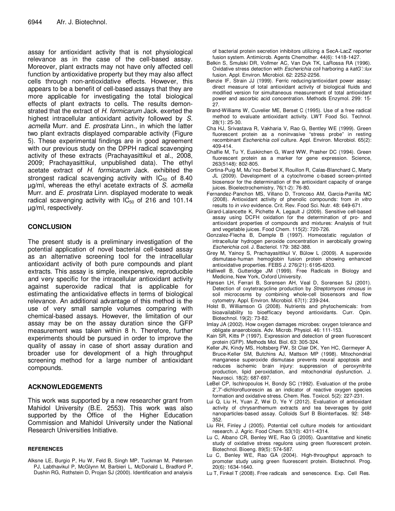assay for antioxidant activity that is not physiological relevance as in the case of the cell-based assay. Moreover, plant extracts may not have only affected cell function by antioxidative property but they may also affect cells through non-antioxidative effects. However, this appears to be a benefit of cell-based assays that they are more applicable for investigating the total biological effects of plant extracts to cells. The results demonstrated that the extract of *H. formicarum* Jack. exerted the highest intracellular antioxidant activity followed by *S. acmella* Murr. and *E. prostrata* Linn., in which the latter two plant extracts displayed comparable activity (Figure 5). These experimental findings are in good agreement with our previous study on the DPPH radical scavenging activity of these extracts (Prachayasittikul et al., 2008, 2009; Prachayasittikul*,* unpublished data). The ethyl acetate extract of *H. formicarum* Jack. exhibited the strongest radical scavenging activity with  $IC_{50}$  of 8.40 µg/ml, whereas the ethyl acetate extracts of *S. acmella* Murr. and *E. prostrata* Linn. displayed moderate to weak radical scavenging activity with  $IC_{50}$  of 216 and 101.14 µg/ml, respectively.

# **CONCLUSION**

The present study is a preliminary investigation of the potential application of novel bacterial cell-based assay as an alternative screening tool for the intracellular antioxidant activity of both pure compounds and plant extracts. This assay is simple, inexpensive, reproducible and very specific for the intracellular antioxidant activity against superoxide radical that is applicable for estimating the antioxidative effects in terms of biological relevance. An additional advantage of this method is the use of very small sample volumes comparing with chemical-based assays. However, the limitation of our assay may be on the assay duration since the GFP measurement was taken within 8 h. Therefore, further experiments should be pursued in order to improve the quality of assay in case of short assay duration and broader use for development of a high throughput screening method for a large number of antioxidant compounds.

# **ACKNOWLEDGEMENTS**

This work was supported by a new researcher grant from Mahidol University (B.E. 2553). This work was also supported by the Office of the Higher Education Commission and Mahidol University under the National Research Universities Initiative.

#### **REFERENCES**

Alksne LE, Burgio P, Hu W, Feld B, Singh MP, Tuckman M, Petersen PJ, Labthavikul P, McGlynn M, Barbieri L, McDonald L, Bradford P, Dushin RG, Rothstein D, Projan SJ (2000). Identification and analysis of bacterial protein secretion inhibitors utilizing a SecA-LacZ reporter fusion system. Antimicrob. Agents Chemother. 44(6): 1418-1427.

- Belkin S, Smulski DR, Vollmer AC, Van Dyk TK, LaRossa RA (1996). Oxidative stress detection with *Escherichia coli* harboring a *katG'::lux* fusion. Appl. Environ. Microbiol. 62: 2252-2256.
- Benzie IF, Strain JJ (1999). Ferric reducing/antioxidant power assay: direct measure of total antioxidant activity of biological fluids and modified version for simultaneous measurement of total antioxidant power and ascorbic acid concentration. Methods Enzymol. 299: 15- 27.
- Brand-Williams W, Cuvelier ME, Berset C (1995). Use of a free radical method to evaluate antioxidant activity. LWT Food Sci. Technol. 28(1): 25-30.
- Cha HJ, Srivastava R, Vakharia V, Rao G, Bentley WE (1999). Green fluorescent protein as a noninvasive "stress probe" in resting recombinant *Escherichia coli* culture. Appl. Environ. Microbiol. 65(2): 409-414.
- Chalfie M, Tu Y, Euskirchen G, Ward WW, Prasher DC (1994). Green fluorescent protein as a marker for gene expression. Science, 263(5148): 802-805.
- Cortina-Puig M, Mu˜noz-Berbel X, Rouillon R, Calas-Blanchard C, Marty JL (2009). Development of a cytochrome c-based screen-printed biosensor for the determination of the antioxidant capacity of orange juices. Bioelectrochemistry, 76(1-2): 76-80.
- Fernandez-Panchon MS, Villano D, Troncoso AM, Garcia-Parrilla MC (2008). Antioxidant activity of phenolic compounds: from *in vitro* results to *in vivo* evidence. Crit. Rev. Food Sci. Nutr. 48: 649-671.
- Girard-Lalancette K, Pichette A, Legault J (2009). Sensitive cell-based assay using DCFH oxidation for the determination of pro- and antioxidant properties of compounds and mixtures: Analysis of fruit and vegetable juices. Food Chem. 115(2): 720-726.
- Gonzalez-Flecha B, Demple B (1997). Homeostatic regulation of intracellular hydrogen peroxide concentration in aerobically growing *Escherichia coli*. J. Bacteriol. 179: 382-388.
- Grey M, Yainoy S, Prachayasittikul V, Bülow L (2009). A superoxide dismutase-human hemoglobin fusion protein showing enhanced antioxidative properties. FEBS J. 276(21): 6195-6203.
- Halliwell B, Gutteridge JM (1999). Free Radicals in Biology and Medicine, New York, Oxford University.
- Hansen LH, Ferrari B, Sorensen AH, Veal D, Sorensen SJ (2001). Detection of oxytetracycline production by *Streptomyces rimosus* in soil microcosms by combining whole-cell biosensors and flow cytometry. Appl. Environ. Microbiol. 67(1): 239-244.
- Holst B, Williamson G (2008). Nutrients and phytochemicals: from bioavailability to bioefficacy beyond antioxidants. Curr. Opin. Biotechnol. 19(2): 73-82.
- Imlay JA (2002). How oxygen damages microbes: oxygen tolerance and obligate anaerobiosis. Adv. Microb. Physiol. 46: 111-153.
- Kain SR, Kitts P (1997). Expression and detection of green fluorescent protein (GFP). Methods Mol. Biol. 63: 305-324.
- Keller JN, Kindy MS, Holtsberg FW, St Clair DK, Yen HC, Germeyer A, Bruce-Keller SM, Butchins AJ, Mattson MP (1998). Mitochondrial manganese superoxide dismutase prevents neural apoptosis and reduces ischemic brain injury: suppression of peroxynitrite production, lipid peroxidation, and mitochondrial dysfunction. J. Neurosci. 18(2): 687-697.
- LeBel CP, Ischiropoulos H, Bondy SC (1992). Evaluation of the probe 2′,7′-dichlorofluorescin as an indicator of reactive oxygen species formation and oxidative stress. Chem. Res. Toxicol. 5(2): 227-231.
- Lui Q, Liu H, Yuan Z, Wei D, Ye Y (2012). Evaluation of antioxidant activity of chrysanthemum extracts and tea beverages by gold nanoparticles-based assay. Colloids Surf B Biointerfaces. 92: 348- 352.
- Liu RH, Finley J (2005). Potential cell culture models for antioxidant research. J. Agric. Food Chem. 53(10): 4311-4314.
- Lu C, Albano CR, Benley WE, Rao G (2005). Quantitative and kinetic study of oxidative stress regulons using green fluorescent protein. Biotechnol. Bioeng. 89(5): 574-587.
- Lu C, Benley WE, Rao GA (2004). High-throughput approach to promoter study using green fluorescent protein. Biotechnol. Prog. 20(6): 1634-1640.
- Lu T, Finkel T (2008). Free radicals and senescence. Exp. Cell Res.